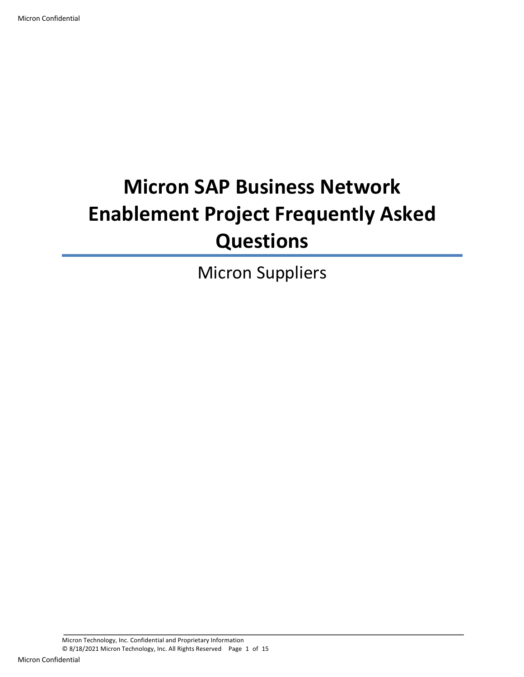# **Micron SAP Business Network Enablement Project Frequently Asked Questions**

Micron Suppliers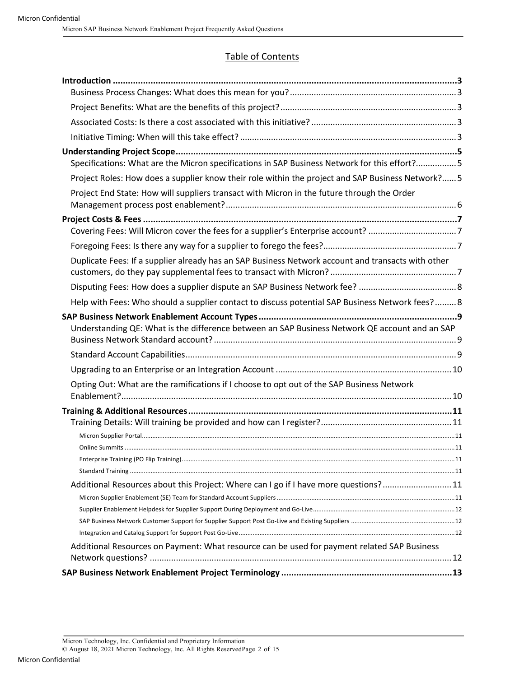#### Table of Contents

| Specifications: What are the Micron specifications in SAP Business Network for this effort?5       |  |
|----------------------------------------------------------------------------------------------------|--|
| Project Roles: How does a supplier know their role within the project and SAP Business Network? 5  |  |
| Project End State: How will suppliers transact with Micron in the future through the Order         |  |
|                                                                                                    |  |
|                                                                                                    |  |
|                                                                                                    |  |
|                                                                                                    |  |
| Duplicate Fees: If a supplier already has an SAP Business Network account and transacts with other |  |
|                                                                                                    |  |
| Help with Fees: Who should a supplier contact to discuss potential SAP Business Network fees? 8    |  |
| Understanding QE: What is the difference between an SAP Business Network QE account and an SAP     |  |
|                                                                                                    |  |
|                                                                                                    |  |
| Opting Out: What are the ramifications if I choose to opt out of the SAP Business Network          |  |
|                                                                                                    |  |
|                                                                                                    |  |
|                                                                                                    |  |
|                                                                                                    |  |
|                                                                                                    |  |
| Additional Resources about this Project: Where can I go if I have more questions?11                |  |
|                                                                                                    |  |
|                                                                                                    |  |
|                                                                                                    |  |
|                                                                                                    |  |
| Additional Resources on Payment: What resource can be used for payment related SAP Business        |  |
|                                                                                                    |  |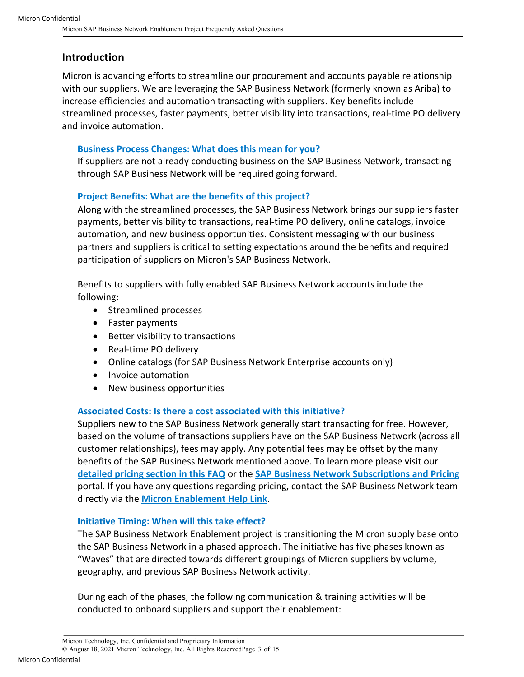# **Introduction**

Micron is advancing efforts to streamline our procurement and accounts payable relationship with our suppliers. We are leveraging the SAP Business Network (formerly known as Ariba) to increase efficiencies and automation transacting with suppliers. Key benefits include streamlined processes, faster payments, better visibility into transactions, real-time PO delivery and invoice automation.

# **Business Process Changes: What does this mean for you?**

If suppliers are not already conducting business on the SAP Business Network, transacting through SAP Business Network will be required going forward.

# **Project Benefits: What are the benefits of this project?**

Along with the streamlined processes, the SAP Business Network brings our suppliers faster payments, better visibility to transactions, real-time PO delivery, online catalogs, invoice automation, and new business opportunities. Consistent messaging with our business partners and suppliers is critical to setting expectations around the benefits and required participation of suppliers on Micron's SAP Business Network.

Benefits to suppliers with fully enabled SAP Business Network accounts include the following:

- Streamlined processes
- Faster payments
- Better visibility to transactions
- Real-time PO delivery
- Online catalogs (for SAP Business Network Enterprise accounts only)
- Invoice automation
- New business opportunities

# **Associated Costs: Is there a cost associated with this initiative?**

Suppliers new to the SAP Business Network generally start transacting for free. However, based on the volume of transactions suppliers have on the SAP Business Network (across all customer relationships), fees may apply. Any potential fees may be offset by the many benefits of the SAP Business Network mentioned above. To learn more please visit our **detailed pricing section in this FAQ** or the **SAP Business Network Subscriptions and Pricing** portal. If you have any questions regarding pricing, contact the SAP Business Network team directly via the **Micron Enablement Help Link**.

#### **Initiative Timing: When will this take effect?**

The SAP Business Network Enablement project is transitioning the Micron supply base onto the SAP Business Network in a phased approach. The initiative has five phases known as "Waves" that are directed towards different groupings of Micron suppliers by volume, geography, and previous SAP Business Network activity.

During each of the phases, the following communication & training activities will be conducted to onboard suppliers and support their enablement: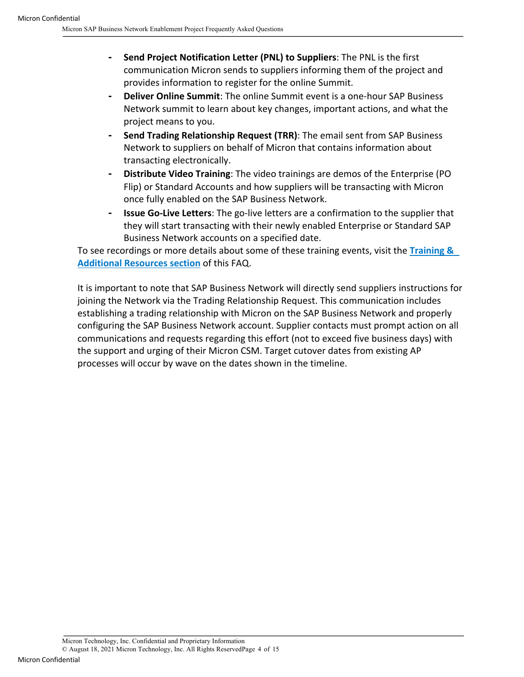- ⁃ **Send Project Notification Letter (PNL) to Suppliers**: The PNL is the first communication Micron sends to suppliers informing them of the project and provides information to register for the online Summit.
- ⁃ **Deliver Online Summit**: The online Summit event is a one-hour SAP Business Network summit to learn about key changes, important actions, and what the project means to you.
- ⁃ **Send Trading Relationship Request (TRR)**: The email sent from SAP Business Network to suppliers on behalf of Micron that contains information about transacting electronically.
- ⁃ **Distribute Video Training**: The video trainings are demos of the Enterprise (PO Flip) or Standard Accounts and how suppliers will be transacting with Micron once fully enabled on the SAP Business Network.
- ⁃ **Issue Go-Live Letters**: The go-live letters are a confirmation to the supplier that they will start transacting with their newly enabled Enterprise or Standard SAP Business Network accounts on a specified date.

To see recordings or more details about some of these training events, visit the **Training & Additional Resources section** of this FAQ.

It is important to note that SAP Business Network will directly send suppliers instructions for joining the Network via the Trading Relationship Request. This communication includes establishing a trading relationship with Micron on the SAP Business Network and properly configuring the SAP Business Network account. Supplier contacts must prompt action on all communications and requests regarding this effort (not to exceed five business days) with the support and urging of their Micron CSM. Target cutover dates from existing AP processes will occur by wave on the dates shown in the timeline.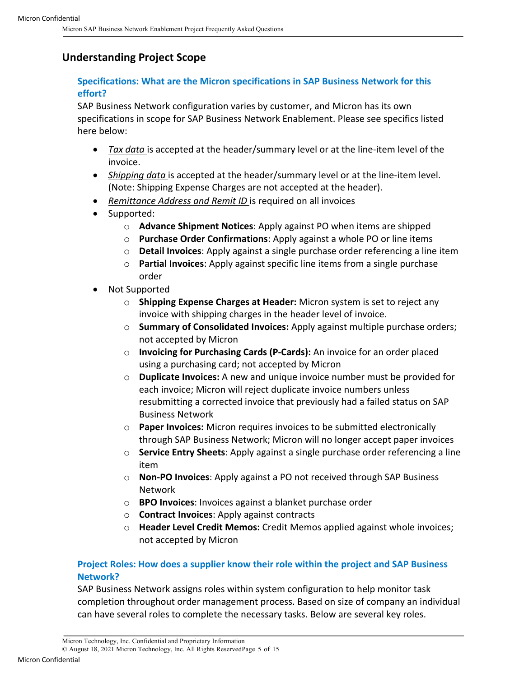# **Understanding Project Scope**

# **Specifications: What are the Micron specifications in SAP Business Network for this effort?**

SAP Business Network configuration varies by customer, and Micron has its own specifications in scope for SAP Business Network Enablement. Please see specifics listed here below:

- *Tax data* is accepted at the header/summary level or at the line-item level of the invoice.
- *Shipping data* is accepted at the header/summary level or at the line-item level. (Note: Shipping Expense Charges are not accepted at the header).
- *Remittance Address and Remit ID* is required on all invoices
- Supported:
	- o **Advance Shipment Notices**: Apply against PO when items are shipped
	- o **Purchase Order Confirmations**: Apply against a whole PO or line items
	- o **Detail Invoices**: Apply against a single purchase order referencing a line item
	- o **Partial Invoices**: Apply against specific line items from a single purchase order
- Not Supported
	- o **Shipping Expense Charges at Header:** Micron system is set to reject any invoice with shipping charges in the header level of invoice.
	- o **Summary of Consolidated Invoices:** Apply against multiple purchase orders; not accepted by Micron
	- o **Invoicing for Purchasing Cards (P-Cards):** An invoice for an order placed using a purchasing card; not accepted by Micron
	- o **Duplicate Invoices:** A new and unique invoice number must be provided for each invoice; Micron will reject duplicate invoice numbers unless resubmitting a corrected invoice that previously had a failed status on SAP Business Network
	- o **Paper Invoices:** Micron requires invoices to be submitted electronically through SAP Business Network; Micron will no longer accept paper invoices
	- o **Service Entry Sheets**: Apply against a single purchase order referencing a line item
	- o **Non-PO Invoices**: Apply against a PO not received through SAP Business Network
	- o **BPO Invoices**: Invoices against a blanket purchase order
	- o **Contract Invoices**: Apply against contracts
	- o **Header Level Credit Memos:** Credit Memos applied against whole invoices; not accepted by Micron

# **Project Roles: How does a supplier know their role within the project and SAP Business Network?**

SAP Business Network assigns roles within system configuration to help monitor task completion throughout order management process. Based on size of company an individual can have several roles to complete the necessary tasks. Below are several key roles.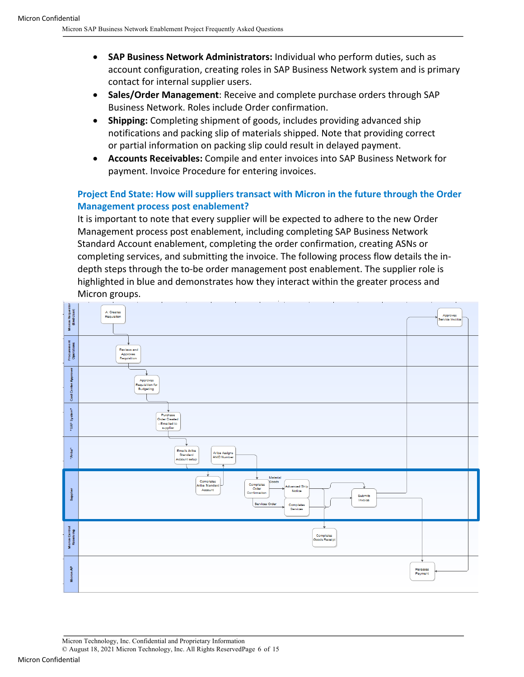- **SAP Business Network Administrators:** Individual who perform duties, such as account configuration, creating roles in SAP Business Network system and is primary contact for internal supplier users.
- **Sales/Order Management**: Receive and complete purchase orders through SAP Business Network. Roles include Order confirmation.
- **Shipping:** Completing shipment of goods, includes providing advanced ship notifications and packing slip of materials shipped. Note that providing correct or partial information on packing slip could result in delayed payment.
- **Accounts Receivables:** Compile and enter invoices into SAP Business Network for payment. Invoice Procedure for entering invoices.

# **Project End State: How will suppliers transact with Micron in the future through the Order Management process post enablement?**

It is important to note that every supplier will be expected to adhere to the new Order Management process post enablement, including completing SAP Business Network Standard Account enablement, completing the order confirmation, creating ASNs or completing services, and submitting the invoice. The following process flow details the indepth steps through the to-be order management post enablement. The supplier role is highlighted in blue and demonstrates how they interact within the greater process and Micron groups.

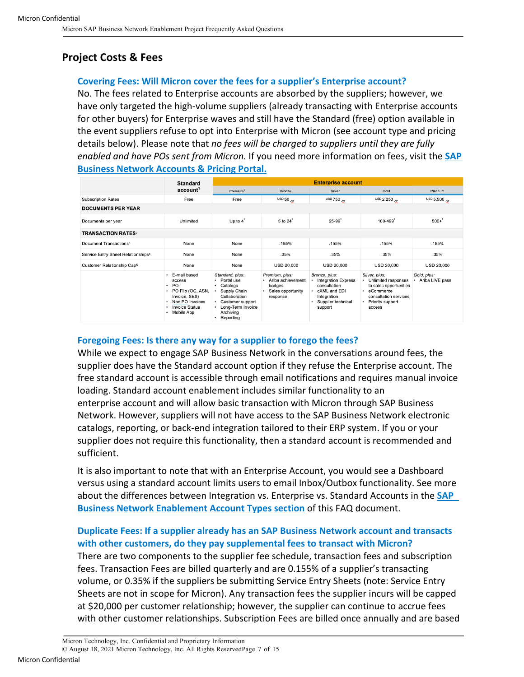# **Project Costs & Fees**

#### **Covering Fees: Will Micron cover the fees for a supplier's Enterprise account?**

No. The fees related to Enterprise accounts are absorbed by the suppliers; however, we have only targeted the high-volume suppliers (already transacting with Enterprise accounts for other buyers) for Enterprise waves and still have the Standard (free) option available in the event suppliers refuse to opt into Enterprise with Micron (see account type and pricing details below). Please note that *no fees will be charged to suppliers until they are fully enabled and have POs sent from Micron.* If you need more information on fees, visit the **SAP Business Network Accounts & Pricing Portal.**

|                                                | <b>Standard</b><br>account <sup>1</sup>                                                                                                                     | <b>Enterprise account</b>                                                                                                                               |                                                                                  |                                                                                                                                  |                                                                                                                                                   |                                |
|------------------------------------------------|-------------------------------------------------------------------------------------------------------------------------------------------------------------|---------------------------------------------------------------------------------------------------------------------------------------------------------|----------------------------------------------------------------------------------|----------------------------------------------------------------------------------------------------------------------------------|---------------------------------------------------------------------------------------------------------------------------------------------------|--------------------------------|
|                                                |                                                                                                                                                             | Premium <sup>1</sup>                                                                                                                                    | <b>Bronze</b>                                                                    | Silver                                                                                                                           | Gold                                                                                                                                              | Platinum                       |
| <b>Subscription Rates</b>                      | Free                                                                                                                                                        | Free                                                                                                                                                    | USD $50hr$                                                                       | usb 750 <sub>/yr</sub>                                                                                                           | USD 2,250 $\mu$                                                                                                                                   | USD 5,500 $_{hr}$              |
| <b>DOCUMENTS PER YEAR</b>                      |                                                                                                                                                             |                                                                                                                                                         |                                                                                  |                                                                                                                                  |                                                                                                                                                   |                                |
| Documents per year                             | Unlimited                                                                                                                                                   | Up to $4^{\degree}$                                                                                                                                     | 5 to 24 <sup>*</sup>                                                             | $25-99$ <sup>*</sup>                                                                                                             | $100 - 499$                                                                                                                                       | $500 +$                        |
| <b>TRANSACTION RATES2</b>                      |                                                                                                                                                             |                                                                                                                                                         |                                                                                  |                                                                                                                                  |                                                                                                                                                   |                                |
| Document Transactions <sup>3</sup>             | None                                                                                                                                                        | None                                                                                                                                                    | .155%                                                                            | .155%                                                                                                                            | .155%                                                                                                                                             | .155%                          |
| Service Entry Sheet Relationships <sup>4</sup> | None                                                                                                                                                        | None                                                                                                                                                    | .35%                                                                             | .35%                                                                                                                             | .35%                                                                                                                                              | .35%                           |
| Customer Relationship Cap <sup>5</sup>         | None                                                                                                                                                        | None                                                                                                                                                    | USD 20,000                                                                       | <b>USD 20,000</b>                                                                                                                | <b>USD 20,000</b>                                                                                                                                 | <b>USD 20,000</b>              |
|                                                | E-mail based<br>access<br>PO.<br>٠<br>• PO Flip (OC, ASN,<br>Invoice, SES)<br>Non PO Invoices<br>$\bullet$<br><b>Invoice Status</b><br>٠<br>Mobile App<br>٠ | Standard, plus:<br>Portal use<br>Catalogs<br>٠<br>Supply Chain<br>Collaboration<br>Customer support<br>٠<br>Long-Term Invoice<br>Archiving<br>Reporting | Premium, plus:<br>· Ariba achievement<br>badges<br>Sales opportunity<br>response | Bronze, plus:<br><b>Integration Express</b><br>consultation<br>cXML and EDI<br>٠<br>Integration<br>Supplier technical<br>support | Silver, plus:<br>Unlimited responses<br>٠<br>to sales opportunities<br>eCommerce<br>٠<br>consultation services<br>Priority support<br>٠<br>access | Gold, plus:<br>Ariba LIVE pass |

#### **Foregoing Fees: Is there any way for a supplier to forego the fees?**

While we expect to engage SAP Business Network in the conversations around fees, the supplier does have the Standard account option if they refuse the Enterprise account. The free standard account is accessible through email notifications and requires manual invoice loading. Standard account enablement includes similar functionality to an enterprise account and will allow basic transaction with Micron through SAP Business Network. However, suppliers will not have access to the SAP Business Network electronic catalogs, reporting, or back-end integration tailored to their ERP system. If you or your supplier does not require this functionality, then a standard account is recommended and sufficient.

It is also important to note that with an Enterprise Account, you would see a Dashboard versus using a standard account limits users to email Inbox/Outbox functionality. See more about the differences between Integration vs. Enterprise vs. Standard Accounts in the **SAP Business Network Enablement Account Types section** of this FAQ document.

# **Duplicate Fees: If a supplier already has an SAP Business Network account and transacts with other customers, do they pay supplemental fees to transact with Micron?**

There are two components to the supplier fee schedule, transaction fees and subscription fees. Transaction Fees are billed quarterly and are 0.155% of a supplier's transacting volume, or 0.35% if the suppliers be submitting Service Entry Sheets (note: Service Entry Sheets are not in scope for Micron). Any transaction fees the supplier incurs will be capped at \$20,000 per customer relationship; however, the supplier can continue to accrue fees with other customer relationships. Subscription Fees are billed once annually and are based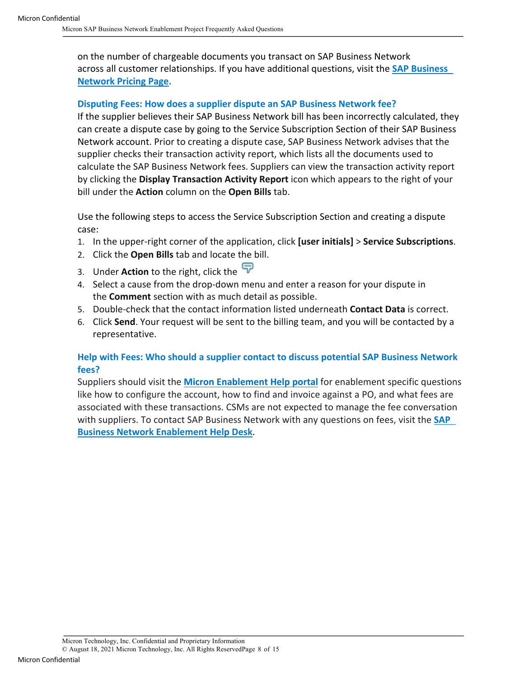on the number of chargeable documents you transact on SAP Business Network across all customer relationships. If you have additional questions, visit the **SAP Business Network Pricing Page.**

# **Disputing Fees: How does a supplier dispute an SAP Business Network fee?**

If the supplier believes their SAP Business Network bill has been incorrectly calculated, they can create a dispute case by going to the Service Subscription Section of their SAP Business Network account. Prior to creating a dispute case, SAP Business Network advises that the supplier checks their transaction activity report, which lists all the documents used to calculate the SAP Business Network fees. Suppliers can view the transaction activity report by clicking the **Display Transaction Activity Report** icon which appears to the right of your bill under the **Action** column on the **Open Bills** tab.

Use the following steps to access the Service Subscription Section and creating a dispute case:

- 1. In the upper-right corner of the application, click **[user initials]** > **Service Subscriptions**.
- 2. Click the **Open Bills** tab and locate the bill.
- 3. Under **Action** to the right, click the
- 4. Select a cause from the drop-down menu and enter a reason for your dispute in the **Comment** section with as much detail as possible.
- 5. Double-check that the contact information listed underneath **Contact Data** is correct.
- 6. Click **Send**. Your request will be sent to the billing team, and you will be contacted by a representative.

#### **Help with Fees: Who should a supplier contact to discuss potential SAP Business Network fees?**

Suppliers should visit the **Micron Enablement Help portal** for enablement specific questions like how to configure the account, how to find and invoice against a PO, and what fees are associated with these transactions. CSMs are not expected to manage the fee conversation with suppliers. To contact SAP Business Network with any questions on fees, visit the **SAP Business Network Enablement Help Desk**.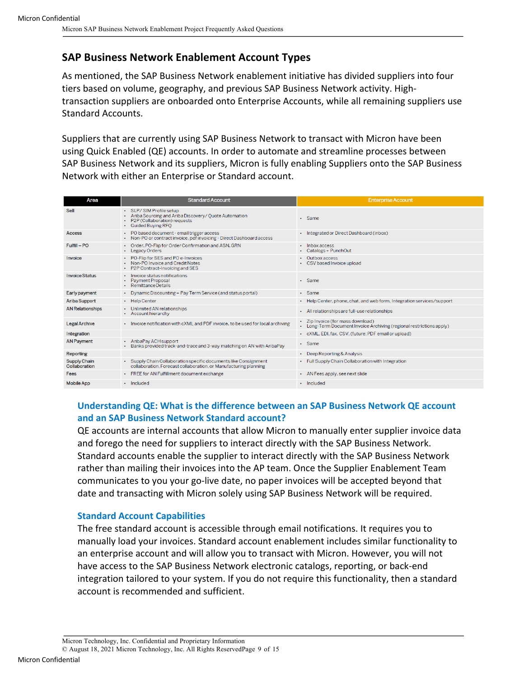# **SAP Business Network Enablement Account Types**

As mentioned, the SAP Business Network enablement initiative has divided suppliers into four tiers based on volume, geography, and previous SAP Business Network activity. Hightransaction suppliers are onboarded onto Enterprise Accounts, while all remaining suppliers use Standard Accounts.

Suppliers that are currently using SAP Business Network to transact with Micron have been using Quick Enabled (QE) accounts. In order to automate and streamline processes between SAP Business Network and its suppliers, Micron is fully enabling Suppliers onto the SAP Business Network with either an Enterprise or Standard account.

| Area                          | <b>Standard Account</b>                                                                                                                    | <b>Enterprise Account</b>                                                                                 |
|-------------------------------|--------------------------------------------------------------------------------------------------------------------------------------------|-----------------------------------------------------------------------------------------------------------|
| Sell                          | · SLP/SIM Profile setup<br>• Ariba Sourcing and Ariba Discovery/ Ouote Automation<br>• P2P (Collaboration) requests<br>· Guided Buying RFO | · Same                                                                                                    |
| <b>Access</b>                 | • PO based document - email trigger access<br>• Non-PO or contract invoice, pdf invoicing - Direct Dashboard access                        | • Integrated or Direct Dashboard (inbox)                                                                  |
| Fulfill - PO                  | • Order, PO-Flip for Order Confirmation and ASN, GRN<br>• Legacy Orders                                                                    | Inbox access<br>• Catalogs + PunchOut                                                                     |
| Invoice                       | • PO-Flip for SES and PO e-Invoices<br>• Non-PO Invoice and Credit Notes<br>• P2P Contract-Invoicing and SES                               | Outbox access<br>CSV based Invoice upload                                                                 |
| <b>Invoice Status</b>         | · Invoice status notifications<br><b>Payment Proposal</b><br>• Remittance Details                                                          | · Same                                                                                                    |
| Early payment                 | • Dynamic Discounting + Pay Term Service (and status portal)                                                                               | · Same                                                                                                    |
| <b>Ariba Support</b>          | • Help Center                                                                                                                              | • Help Center, phone, chat, and web form, Integration services/support                                    |
| <b>AN Relationships</b>       | • Unlimited AN relationships<br>• Account hierarchy                                                                                        | • All relationships are full-use relationships                                                            |
| <b>Legal Archive</b>          | - Invoice notification with cXML and PDF invoice, to be used for local archiving                                                           | • Zip Invoice (for mass download)<br>• Long-Term Document Invoice Archiving (regional restrictions apply) |
| Integration                   |                                                                                                                                            | • cXML, EDI, fax, CSV, (future: PDF email or upload)                                                      |
| <b>AN Payment</b>             | • AribaPay ACH support<br>- Banks provided track-and-trace and 3-way matching on AN with AribaPay                                          | · Same                                                                                                    |
| Reporting                     |                                                                                                                                            | • Deep Reporting & Analysis                                                                               |
| Supply Chain<br>Collaboration | · Supply Chain Collaboration specific documents like Consignment<br>collaboration, Forecast collaboration, or Manufacturing planning       | • Full Supply Chain Collaboration with Integration                                                        |
| Fees                          | • FREE for AN Fulfillment document exchange                                                                                                | • AN Fees apply, see next slide                                                                           |
| <b>Mobile App</b>             | $\cdot$ Included                                                                                                                           | $\cdot$ Included                                                                                          |

# **Understanding QE: What is the difference between an SAP Business Network QE account and an SAP Business Network Standard account?**

QE accounts are internal accounts that allow Micron to manually enter supplier invoice data and forego the need for suppliers to interact directly with the SAP Business Network. Standard accounts enable the supplier to interact directly with the SAP Business Network rather than mailing their invoices into the AP team. Once the Supplier Enablement Team communicates to you your go-live date, no paper invoices will be accepted beyond that date and transacting with Micron solely using SAP Business Network will be required.

#### **Standard Account Capabilities**

The free standard account is accessible through email notifications. It requires you to manually load your invoices. Standard account enablement includes similar functionality to an enterprise account and will allow you to transact with Micron. However, you will not have access to the SAP Business Network electronic catalogs, reporting, or back-end integration tailored to your system. If you do not require this functionality, then a standard account is recommended and sufficient.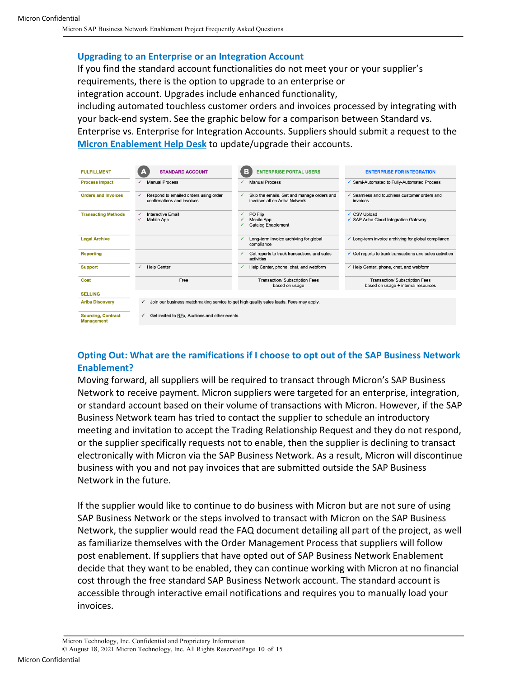#### **Upgrading to an Enterprise or an Integration Account**

If you find the standard account functionalities do not meet your or your supplier's requirements, there is the option to upgrade to an enterprise or integration account. Upgrades include enhanced functionality,

including automated touchless customer orders and invoices processed by integrating with your back-end system. See the graphic below for a comparison between Standard vs.

Enterprise vs. Enterprise for Integration Accounts. Suppliers should submit a request to the **Micron Enablement Help Desk** to update/upgrade their accounts.

| <b>FULFILLMENT</b>                             | <b>STANDARD ACCOUNT</b>                                                   | в<br><b>ENTERPRISE PORTAL USERS</b>                                                    | <b>ENTERPRISE FOR INTEGRATION</b>                                     |
|------------------------------------------------|---------------------------------------------------------------------------|----------------------------------------------------------------------------------------|-----------------------------------------------------------------------|
| <b>Process Impact</b>                          | <b>Manual Process</b>                                                     | <b>Manual Process</b>                                                                  | ✔ Semi-Automated to Fully-Automated Process                           |
| <b>Orders and Invoices</b>                     | Respond to emailed orders using order<br>✓<br>confirmations and invoices. | Skip the emails. Get and manage orders and<br>✓<br>invoices all on Ariba Network.      | $\checkmark$ Seamless and touchless customer orders and<br>invoices.  |
| <b>Transacting Methods</b>                     | <b>Interactive Email</b><br><b>Mobile App</b>                             | PO Flip<br>Mobile App<br><b>Catalog Enablement</b>                                     | <b>CSV Upload</b><br>SAP Ariba Cloud Integration Gateway              |
| <b>Legal Archive</b>                           |                                                                           | Long-term invoice archiving for global<br>√<br>compliance                              | $\checkmark$ Long-term invoice archiving for global compliance        |
| <b>Reporting</b>                               |                                                                           | Get reports to track transactions and sales<br>activities                              | Get reports to track transactions and sales activities                |
| <b>Support</b>                                 | <b>Help Center</b>                                                        | Help Center, phone, chat, and webform<br>√                                             | Help Center, phone, chat, and webform                                 |
| Cost                                           | Free                                                                      | Transaction/ Subscription Fees<br>based on usage                                       | Transaction/ Subscription Fees<br>based on usage + internal resources |
| <b>SELLING</b>                                 |                                                                           |                                                                                        |                                                                       |
| <b>Ariba Discovery</b>                         | $\checkmark$                                                              | Join our business matchmaking service to get high quality sales leads. Fees may apply. |                                                                       |
| <b>Sourcing, Contract</b><br><b>Management</b> | Get invited to RFx, Auctions and other events.<br>$\checkmark$            |                                                                                        |                                                                       |

# **Opting Out: What are the ramifications if I choose to opt out of the SAP Business Network Enablement?**

Moving forward, all suppliers will be required to transact through Micron's SAP Business Network to receive payment. Micron suppliers were targeted for an enterprise, integration, or standard account based on their volume of transactions with Micron. However, if the SAP Business Network team has tried to contact the supplier to schedule an introductory meeting and invitation to accept the Trading Relationship Request and they do not respond, or the supplier specifically requests not to enable, then the supplier is declining to transact electronically with Micron via the SAP Business Network. As a result, Micron will discontinue business with you and not pay invoices that are submitted outside the SAP Business Network in the future.

If the supplier would like to continue to do business with Micron but are not sure of using SAP Business Network or the steps involved to transact with Micron on the SAP Business Network, the supplier would read the FAQ document detailing all part of the project, as well as familiarize themselves with the Order Management Process that suppliers will follow post enablement. If suppliers that have opted out of SAP Business Network Enablement decide that they want to be enabled, they can continue working with Micron at no financial cost through the free standard SAP Business Network account. The standard account is accessible through interactive email notifications and requires you to manually load your invoices.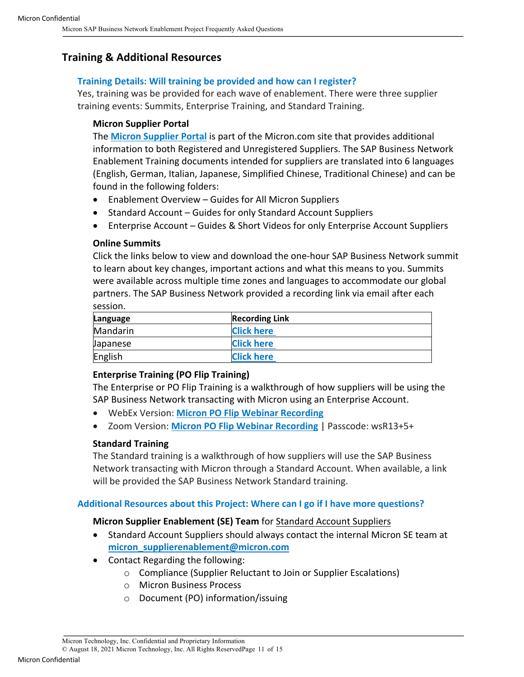# **Training & Additional Resources**

#### **Training Details: Will training be provided and how can I register?**

Yes, training was be provided for each wave of enablement. There were three supplier training events: Summits, Enterprise Training, and Standard Training.

#### **Micron Supplier Portal**

The **Micron Supplier Portal** is part of the Micron.com site that provides additional information to both Registered and Unregistered Suppliers. The SAP Business Network Enablement Training documents intended for suppliers are translated into 6 languages (English, German, Italian, Japanese, Simplified Chinese, Traditional Chinese) and can be found in the following folders:

- Enablement Overview Guides for All Micron Suppliers
- Standard Account Guides for only Standard Account Suppliers
- Enterprise Account Guides & Short Videos for only Enterprise Account Suppliers

#### **Online Summits**

Click the links below to view and download the one-hour SAP Business Network summit to learn about key changes, important actions and what this means to you. Summits were available across multiple time zones and languages to accommodate our global partners. The SAP Business Network provided a recording link via email after each session.

| Language        | <b>Recording Link</b> |  |
|-----------------|-----------------------|--|
| Mandarin        | <b>Click here</b>     |  |
| <b>Japanese</b> | <b>Click here</b>     |  |
| English         | <b>Click here</b>     |  |

#### **Enterprise Training (PO Flip Training)**

The Enterprise or PO Flip Training is a walkthrough of how suppliers will be using the SAP Business Network transacting with Micron using an Enterprise Account.

- WebEx Version: **Micron PO Flip Webinar Recording**
- Zoom Version: **Micron PO Flip Webinar Recording** | Passcode: wsR13+5+

#### **Standard Training**

The Standard training is a walkthrough of how suppliers will use the SAP Business Network transacting with Micron through a Standard Account. When available, a link will be provided the SAP Business Network Standard training.

#### **Additional Resources about this Project: Where can I go if I have more questions?**

#### **Micron Supplier Enablement (SE) Team** for Standard Account Suppliers

- Standard Account Suppliers should always contact the internal Micron SE team at **micron\_supplierenablement@micron.com**
- Contact Regarding the following:
	- o Compliance (Supplier Reluctant to Join or Supplier Escalations)
	- o Micron Business Process
	- o Document (PO) information/issuing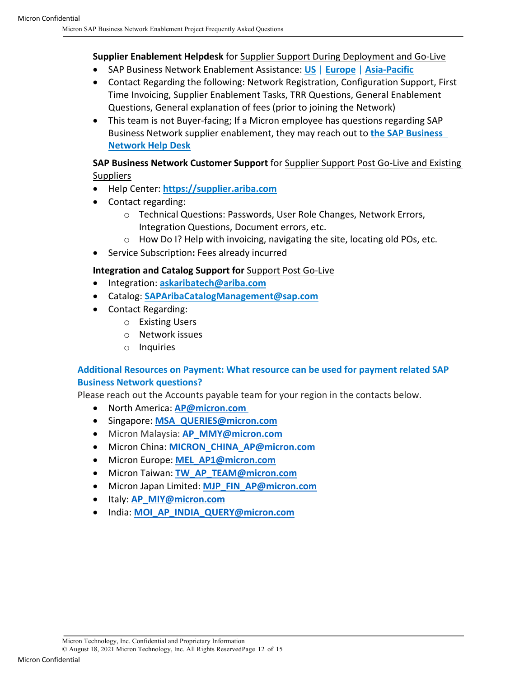# **Supplier Enablement Helpdesk** for Supplier Support During Deployment and Go-Live

- SAP Business Network Enablement Assistance: **US** | **Europe** | **Asia-Pacific**
- Contact Regarding the following: Network Registration, Configuration Support, First Time Invoicing, Supplier Enablement Tasks, TRR Questions, General Enablement Questions, General explanation of fees (prior to joining the Network)
- This team is not Buyer-facing; If a Micron employee has questions regarding SAP Business Network supplier enablement, they may reach out to **the SAP Business Network Help Desk**

#### **SAP Business Network Customer Support** for Supplier Support Post Go-Live and Existing **Suppliers**

- Help Center: **https://supplier.ariba.com**
- Contact regarding:
	- o Technical Questions: Passwords, User Role Changes, Network Errors, Integration Questions, Document errors, etc.
	- o How Do I? Help with invoicing, navigating the site, locating old POs, etc.
- Service Subscription**:** Fees already incurred

# **Integration and Catalog Support for** Support Post Go-Live

- Integration: **askaribatech@ariba.com**
- Catalog: **SAPAribaCatalogManagement@sap.com**
- Contact Regarding:
	- o Existing Users
	- o Network issues
	- o Inquiries

# **Additional Resources on Payment: What resource can be used for payment related SAP Business Network questions?**

Please reach out the Accounts payable team for your region in the contacts below.

- North America: **AP@micron.com**
- Singapore: **MSA\_QUERIES@micron.com**
- Micron Malaysia: **AP\_MMY@micron.com**
- Micron China: **MICRON\_CHINA\_AP@micron.com**
- Micron Europe: **MEL\_AP1@micron.com**
- Micron Taiwan: **TW\_AP\_TEAM@micron.com**
- Micron Japan Limited: **MJP\_FIN\_AP@micron.com**
- Italy: **AP\_MIY@micron.com**
- India: **MOI\_AP\_INDIA\_QUERY@micron.com**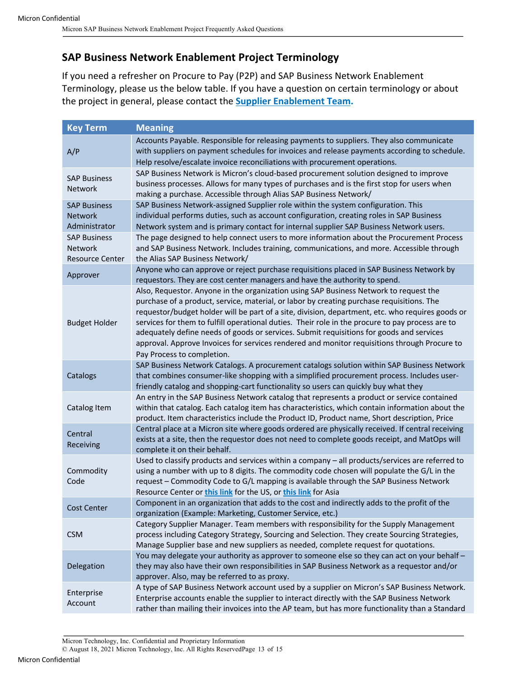# **SAP Business Network Enablement Project Terminology**

If you need a refresher on Procure to Pay (P2P) and SAP Business Network Enablement Terminology, please us the below table. If you have a question on certain terminology or about the project in general, please contact the **Supplier Enablement Team.**

| <b>Key Term</b>                                                 | <b>Meaning</b>                                                                                                                                                                                                                                                                                                                                                                                                                                                                                                                                                                                                       |
|-----------------------------------------------------------------|----------------------------------------------------------------------------------------------------------------------------------------------------------------------------------------------------------------------------------------------------------------------------------------------------------------------------------------------------------------------------------------------------------------------------------------------------------------------------------------------------------------------------------------------------------------------------------------------------------------------|
| A/P                                                             | Accounts Payable. Responsible for releasing payments to suppliers. They also communicate<br>with suppliers on payment schedules for invoices and release payments according to schedule.<br>Help resolve/escalate invoice reconciliations with procurement operations.                                                                                                                                                                                                                                                                                                                                               |
| <b>SAP Business</b><br><b>Network</b>                           | SAP Business Network is Micron's cloud-based procurement solution designed to improve<br>business processes. Allows for many types of purchases and is the first stop for users when<br>making a purchase. Accessible through Alias SAP Business Network/                                                                                                                                                                                                                                                                                                                                                            |
| <b>SAP Business</b><br><b>Network</b><br>Administrator          | SAP Business Network-assigned Supplier role within the system configuration. This<br>individual performs duties, such as account configuration, creating roles in SAP Business<br>Network system and is primary contact for internal supplier SAP Business Network users.                                                                                                                                                                                                                                                                                                                                            |
| <b>SAP Business</b><br><b>Network</b><br><b>Resource Center</b> | The page designed to help connect users to more information about the Procurement Process<br>and SAP Business Network. Includes training, communications, and more. Accessible through<br>the Alias SAP Business Network/                                                                                                                                                                                                                                                                                                                                                                                            |
| Approver                                                        | Anyone who can approve or reject purchase requisitions placed in SAP Business Network by<br>requestors. They are cost center managers and have the authority to spend.                                                                                                                                                                                                                                                                                                                                                                                                                                               |
| <b>Budget Holder</b>                                            | Also, Requestor. Anyone in the organization using SAP Business Network to request the<br>purchase of a product, service, material, or labor by creating purchase requisitions. The<br>requestor/budget holder will be part of a site, division, department, etc. who requires goods or<br>services for them to fulfill operational duties. Their role in the procure to pay process are to<br>adequately define needs of goods or services. Submit requisitions for goods and services<br>approval. Approve Invoices for services rendered and monitor requisitions through Procure to<br>Pay Process to completion. |
| Catalogs                                                        | SAP Business Network Catalogs. A procurement catalogs solution within SAP Business Network<br>that combines consumer-like shopping with a simplified procurement process. Includes user-<br>friendly catalog and shopping-cart functionality so users can quickly buy what they                                                                                                                                                                                                                                                                                                                                      |
| Catalog Item                                                    | An entry in the SAP Business Network catalog that represents a product or service contained<br>within that catalog. Each catalog item has characteristics, which contain information about the<br>product. Item characteristics include the Product ID, Product name, Short description, Price                                                                                                                                                                                                                                                                                                                       |
| Central<br>Receiving                                            | Central place at a Micron site where goods ordered are physically received. If central receiving<br>exists at a site, then the requestor does not need to complete goods receipt, and MatOps will<br>complete it on their behalf.                                                                                                                                                                                                                                                                                                                                                                                    |
| Commodity<br>Code                                               | Used to classify products and services within a company - all products/services are referred to<br>using a number with up to 8 digits. The commodity code chosen will populate the G/L in the<br>request - Commodity Code to G/L mapping is available through the SAP Business Network<br>Resource Center or this link for the US, or this link for Asia                                                                                                                                                                                                                                                             |
| Cost Center                                                     | Component in an organization that adds to the cost and indirectly adds to the profit of the<br>organization (Example: Marketing, Customer Service, etc.)                                                                                                                                                                                                                                                                                                                                                                                                                                                             |
| <b>CSM</b>                                                      | Category Supplier Manager. Team members with responsibility for the Supply Management<br>process including Category Strategy, Sourcing and Selection. They create Sourcing Strategies,<br>Manage Supplier base and new suppliers as needed, complete request for quotations.                                                                                                                                                                                                                                                                                                                                         |
| Delegation                                                      | You may delegate your authority as approver to someone else so they can act on your behalf -<br>they may also have their own responsibilities in SAP Business Network as a requestor and/or<br>approver. Also, may be referred to as proxy.                                                                                                                                                                                                                                                                                                                                                                          |
| Enterprise<br>Account                                           | A type of SAP Business Network account used by a supplier on Micron's SAP Business Network.<br>Enterprise accounts enable the supplier to interact directly with the SAP Business Network<br>rather than mailing their invoices into the AP team, but has more functionality than a Standard                                                                                                                                                                                                                                                                                                                         |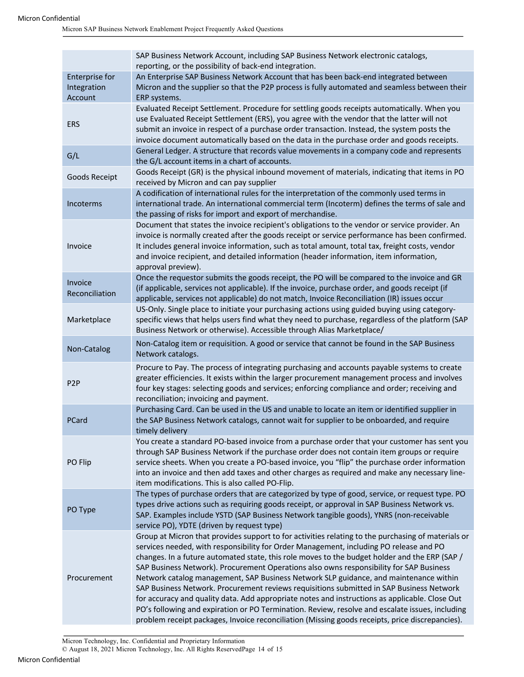|                                                 | SAP Business Network Account, including SAP Business Network electronic catalogs,<br>reporting, or the possibility of back-end integration.                                                                                                                                                                                                                                                                                                      |
|-------------------------------------------------|--------------------------------------------------------------------------------------------------------------------------------------------------------------------------------------------------------------------------------------------------------------------------------------------------------------------------------------------------------------------------------------------------------------------------------------------------|
| <b>Enterprise for</b><br>Integration<br>Account | An Enterprise SAP Business Network Account that has been back-end integrated between<br>Micron and the supplier so that the P2P process is fully automated and seamless between their<br>ERP systems.                                                                                                                                                                                                                                            |
| <b>ERS</b>                                      | Evaluated Receipt Settlement. Procedure for settling goods receipts automatically. When you<br>use Evaluated Receipt Settlement (ERS), you agree with the vendor that the latter will not<br>submit an invoice in respect of a purchase order transaction. Instead, the system posts the<br>invoice document automatically based on the data in the purchase order and goods receipts.                                                           |
| G/L                                             | General Ledger. A structure that records value movements in a company code and represents<br>the G/L account items in a chart of accounts.                                                                                                                                                                                                                                                                                                       |
| Goods Receipt                                   | Goods Receipt (GR) is the physical inbound movement of materials, indicating that items in PO<br>received by Micron and can pay supplier                                                                                                                                                                                                                                                                                                         |
| Incoterms                                       | A codification of international rules for the interpretation of the commonly used terms in<br>international trade. An international commercial term (Incoterm) defines the terms of sale and<br>the passing of risks for import and export of merchandise.                                                                                                                                                                                       |
| Invoice                                         | Document that states the invoice recipient's obligations to the vendor or service provider. An<br>invoice is normally created after the goods receipt or service performance has been confirmed.<br>It includes general invoice information, such as total amount, total tax, freight costs, vendor<br>and invoice recipient, and detailed information (header information, item information,<br>approval preview).                              |
| Invoice<br>Reconciliation                       | Once the requestor submits the goods receipt, the PO will be compared to the invoice and GR<br>(if applicable, services not applicable). If the invoice, purchase order, and goods receipt (if<br>applicable, services not applicable) do not match, Invoice Reconciliation (IR) issues occur                                                                                                                                                    |
| Marketplace                                     | US-Only. Single place to initiate your purchasing actions using guided buying using category-<br>specific views that helps users find what they need to purchase, regardless of the platform (SAP<br>Business Network or otherwise). Accessible through Alias Marketplace/                                                                                                                                                                       |
| Non-Catalog                                     | Non-Catalog item or requisition. A good or service that cannot be found in the SAP Business<br>Network catalogs.                                                                                                                                                                                                                                                                                                                                 |
| P <sub>2</sub> P                                | Procure to Pay. The process of integrating purchasing and accounts payable systems to create<br>greater efficiencies. It exists within the larger procurement management process and involves<br>four key stages: selecting goods and services; enforcing compliance and order; receiving and                                                                                                                                                    |
|                                                 | reconciliation; invoicing and payment.                                                                                                                                                                                                                                                                                                                                                                                                           |
| PCard                                           | Purchasing Card. Can be used in the US and unable to locate an item or identified supplier in<br>the SAP Business Network catalogs, cannot wait for supplier to be onboarded, and require<br>timely delivery                                                                                                                                                                                                                                     |
| PO Flip                                         | You create a standard PO-based invoice from a purchase order that your customer has sent you<br>through SAP Business Network if the purchase order does not contain item groups or require<br>service sheets. When you create a PO-based invoice, you "flip" the purchase order information<br>into an invoice and then add taxes and other charges as required and make any necessary line-<br>item modifications. This is also called PO-Flip. |
| PO Type                                         | The types of purchase orders that are categorized by type of good, service, or request type. PO<br>types drive actions such as requiring goods receipt, or approval in SAP Business Network vs.<br>SAP. Examples include YSTD (SAP Business Network tangible goods), YNRS (non-receivable<br>service PO), YDTE (driven by request type)                                                                                                          |